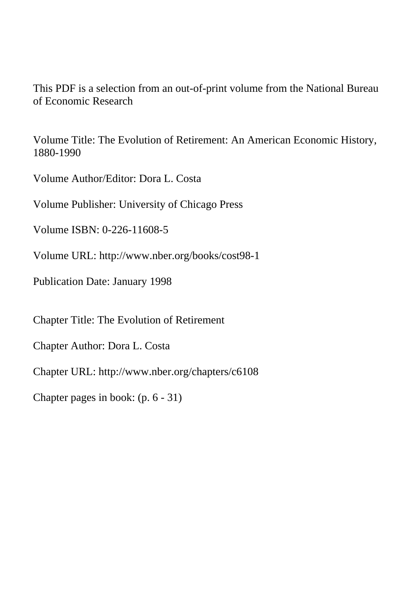This PDF is a selection from an out-of-print volume from the National Bureau of Economic Research

Volume Title: The Evolution of Retirement: An American Economic History, 1880-1990

Volume Author/Editor: Dora L. Costa

Volume Publisher: University of Chicago Press

Volume ISBN: 0-226-11608-5

Volume URL: http://www.nber.org/books/cost98-1

Publication Date: January 1998

Chapter Title: The Evolution of Retirement

Chapter Author: Dora L. Costa

Chapter URL: http://www.nber.org/chapters/c6108

Chapter pages in book: (p. 6 - 31)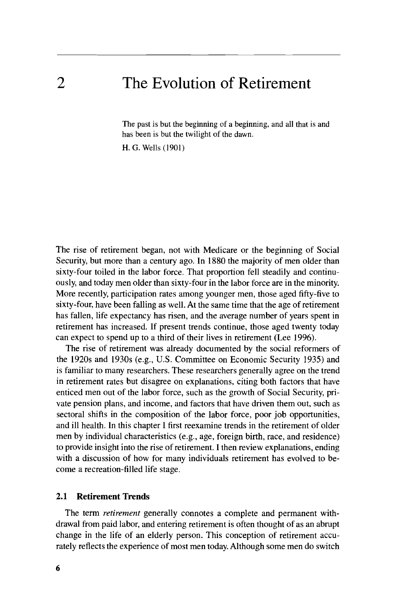# 2 The Evolution of Retirement

The past is but the beginning of a beginning, and all that is and has been is but the twilight of the dawn.

H. G. Wells (1901)

The rise of retirement began, not with Medicare or the beginning of Social Security, but more than a century ago. In 1880 the majority of men older than sixty-four toiled in the labor force. That proportion fell steadily and continuously, and today men older than sixty-four in the labor force are in the minority. More recently, participation rates among younger men, those aged fifty-five to sixty-four, have been falling as well. At the same time that the age of retirement has fallen, life expectancy has risen, and the average number of years spent in retirement has increased. If present trends continue, those aged twenty today can expect to spend up to a third of their lives in retirement (Lee 1996).

The rise of retirement was already documented by the social reformers of the 1920s and 1930s (e.g., U.S. Committee on Economic Security 1935) and is familiar to many researchers. These researchers generally agree on the trend in retirement rates but disagree on explanations, citing both factors that have enticed men out of the labor force, such as the growth of Social Security, private pension plans, and income, and factors that have driven them out, such as sectoral shifts in the composition of the labor force, poor job opportunities, and ill health. In this chapter I first reexamine trends in the retirement of older men by individual characteristics (e.g., age, foreign birth, race, and residence) to provide insight into the rise of retirement. I then review explanations, ending with a discussion of how for many individuals retirement has evolved to become a recreation-filled life stage.

### **2.1 Retirement Trends**

The term *retirement* generally connotes a complete and permanent withdrawal from paid labor, and entering retirement is often thought of as an abrupt change in the life of an elderly person. This conception of retirement accurately reflects the experience of most men today. Although some men do switch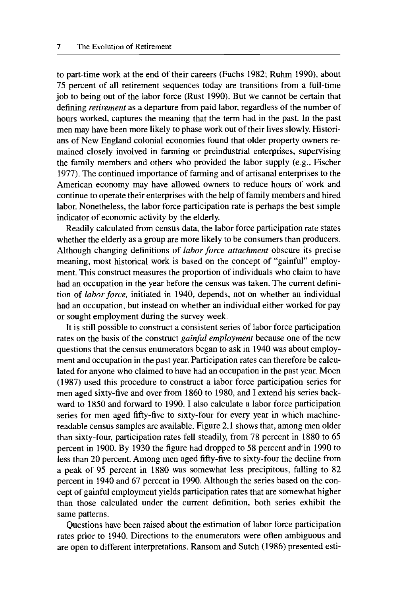to part-time work at the end of their careers (Fuchs 1982; Ruhm 1990), about 75 percent of all retirement sequences today are transitions from a full-time job to being out of the labor force (Rust 1990). But we cannot be certain that defining *retirement* as a departure from paid labor, regardless of the number of hours worked, captures the meaning that the term had in the past. In the past men may have been more likely to phase work out of their lives slowly. Historians of New England colonial economies found that older property owners remained closely involved in farming or preindustrial enterprises, supervising the family members and others who provided the labor supply (e.g., Fischer 1977). The continued importance of farming and of artisanal enterprises to the American economy may have allowed owners to reduce hours of work and continue to operate their enterprises with the help of family members and hired labor. Nonetheless, the labor force participation rate is perhaps the best simple indicator of economic activity by the elderly.

Readily calculated from census data, the labor force participation rate states whether the elderly as a group are more likely to be consumers than producers. Although changing definitions of *labor force attachment* obscure its precise meaning, most historical work is based on the concept of "gainful" employment. This construct measures the proportion of individuals who claim to have had an occupation in the year before the census was taken. The current definition of *labor force,* initiated in 1940, depends, not on whether an individual had an occupation, but instead on whether an individual either worked for pay or sought employment during the survey week.

It is still possible to construct a consistent series of labor force participation rates on the basis of the construct *gainful employment* because one of the new questions that the census enumerators began to ask in 1940 was about employment and occupation in the past year. Participation rates can therefore be calculated for anyone who claimed to have had an occupation in the past year. Moen (1987) used this procedure to construct a labor force participation series for men aged sixty-five and over from 1860 to 1980, and I extend his series backward to 1850 and forward to 1990. **I** also calculate a labor force participation series for men aged fifty-five to sixty-four for every year in which machinereadable census samples are available. Figure 2.1 shows that, among men older than sixty-four, participation rates fell steadily, from 78 percent in 1880 to 65 percent in 1900. By 1930 the figure had dropped to 58 percent and in 1990 to less than 20 percent. Among men aged fifty-five to sixty-four the decline from a peak of 95 percent in 1880 was somewhat less precipitous, falling to 82 percent in 1940 and 67 percent in 1990. Although the series based on the concept of gainful employment yields participation rates that are somewhat higher than those calculated under the current definition, both series exhibit the same patterns.

Questions have been raised about the estimation of labor force participation rates prior to 1940. Directions to the enumerators were often ambiguous and are open to different interpretations. Ransom and Sutch (1986) presented esti-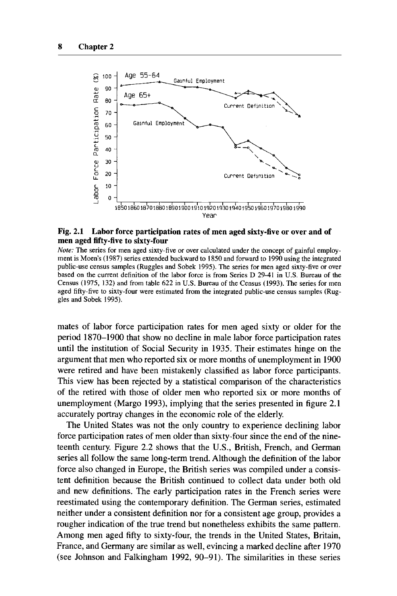

#### **Fig. 2.1 Labor force participation rates of men aged sixty-five or over and of men aged fifty-five to sixty-four**

*Nore:* The series for men aged sixty-five or over calculated under the concept of gainful employment is Moen's (1987) series extended backward to 1850 and forward to 1990 using the integrated public-use census samples (Ruggles and Sobek 1995). The series for men aged sixty-five **or** over based on the current definition of the labor force is from Series D 29-41 in **U.S.** Bureau of the Census (1975, 132) and from table 622 in **U.S.** Bureau of the Census (1993). The series **for** men aged fifty-five to sixty-four were estimated from the integrated public-use census samples (Ruggles and Sobek 1995).

mates of labor force participation rates for men aged sixty or older for the period 1870-1900 that show no decline in male labor force participation rates until the institution of Social Security in 1935. Their estimates hinge on the argument that men who reported six or more months of unemployment in 1900 were retired and have been mistakenly classified as labor force participants. This view has been rejected by a statistical comparison of the characteristics of the retired with those of older men who reported six or more months of unemployment (Margo 1993), implying that the series presented in figure 2.1 accurately portray changes in the economic role of the elderly.

The United States was not the only country to experience declining labor force participation rates of men older than sixty-four since the end of the nineteenth century. Figure 2.2 shows that the U.S., British, French, and German series all follow the same long-term trend. Although the definition of the labor force also changed in Europe, the British series was compiled under a consistent definition because the British continued to collect data under both old and new definitions. The early participation rates in the French series were reestimated using the contemporary definition. The German series, estimated neither under a consistent definition nor for a consistent age group, provides a rougher indication of the true trend but nonetheless exhibits the same pattern. Among men aged fifty to sixty-four, the trends in the United States, Britain, France, and Germany are similar as well, evincing a marked decline after 1970 (see Johnson and Falkingham 1992, 90-91). The similarities in these series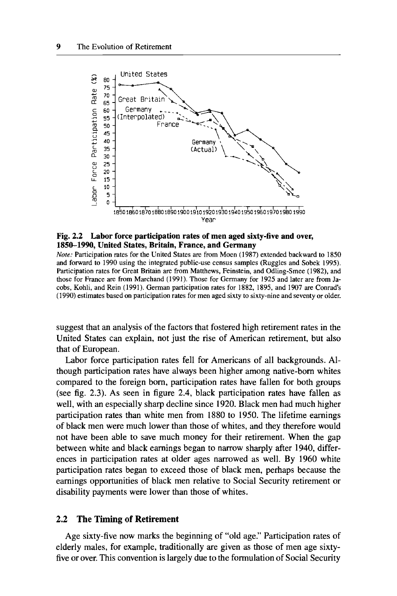

#### **Fig. 2.2 Labor force participation rates of men aged sixty-five and over, 1850-1990, United States, Britain, France, and Germany**

Note: Participation rates for the United States are from Moen (1987) extended backward to 1850 and forward to 1990 using the integrated public-use census samples (Ruggles and Sobek 1995). Participation rates for Great Britain are from Matthews, Feinstein, and Odling-Smee (1982). and those for France are from Marchand (1991). Those for Germany for 1925 and later are from Jacobs, Kohli, and Rein (1991). German participation rates for 1882, 1895, and 1907 are Conrad's (1990) estimates based on participation rates for men aged sixty to sixty-nine and seventy or older.

suggest that an analysis of the factors that fostered high retirement rates in the United States can explain, not just the rise of American retirement, but also that of European.

Labor force participation rates fell for Americans of all backgrounds. Although participation rates have always been higher among native-born whites compared to the foreign born, participation rates have fallen for both groups (see fig. 2.3). As seen in figure 2.4, black participation rates have fallen as well, with an especially sharp decline since 1920. Black men had much higher participation rates than white men from 1880 to 1950. The lifetime earnings of black men were much lower than those of whites, and they therefore would not have been able to save much money for their retirement. When the gap between white and black earnings began to narrow sharply after 1940, differences in participation rates at older ages narrowed as well. By 1960 white participation rates began to exceed those of black men, perhaps because the earnings opportunities of black men relative to Social Security retirement or disability payments were lower than those of whites.

#### **2.2 The Timing of Retirement**

Age sixty-five now marks the beginning of "old age." Participation rates of elderly males, for example, traditionally are given as those of men age sixtyfive or over. This convention is largely due to the formulation of Social Security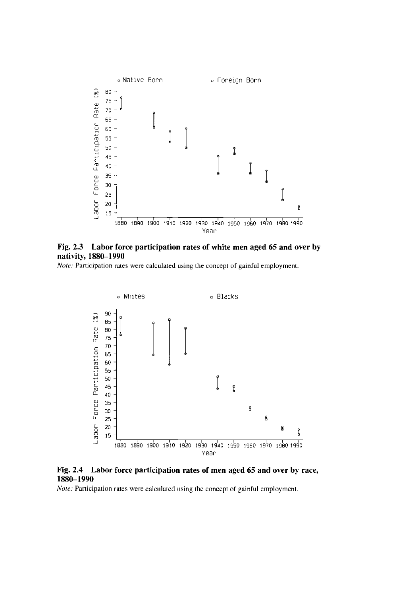

**Fig. 2.3 Labor force participation rates of white men aged 65 and over by nativity, 1880-1990** 

*Note:* Participation rates were calculated using the concept of gainful employment.



**Fig. 2.4 Labor force participation rates of men aged 65 and over by race, 1880-1990** 

*Nore:* Participation rates were calculated using the concept of gainful employment.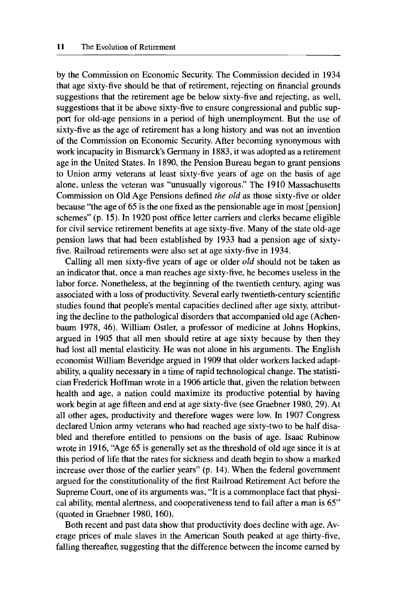by the Commission on Economic Security. The Commission decided in 1934 that age sixty-five should be that of retirement, rejecting on financial grounds suggestions that the retirement age be below sixty-five and rejecting, as well, suggestions that it be above sixty-five to ensure congressional and public support for old-age pensions in a period of high unemployment. But the use of sixty-five as the age of retirement has a long history and was not an invention of the Commission on Economic Security. After becoming synonymous with work incapacity in Bismarck's Germany in 1883, it was adopted as a retirement age in the United States. In 1890, the Pension Bureau began to grant pensions to Union army veterans at least sixty-five years of age on the basis of age alone, unless the veteran was "unusually vigorous." The 1910 Massachusetts Commission on Old Age Pensions defined *the old* as those sixty-five or older because "the age **of** 65 is the one fixed as the pensionable age in most [pension] schemes" (p. 15). In 1920 post office letter carriers and clerks became eligible for civil service retirement benefits at age sixty-five. Many of the state old-age pension laws that had been established by 1933 had a pension age of sixtyfive. Railroad retirements were also set at age sixty-five in 1934.

Calling all men sixty-five years of age or older *old* should not be taken as an indicator that, once a man reaches age sixty-five, he becomes useless in the labor force. Nonetheless, at the beginning of the twentieth century, aging was associated with a loss of productivity. Several early twentieth-century scientific studies found that people's mental capacities declined after age sixty, attributing the decline to the pathological disorders that accompanied old age (Achenbaum 1978, 46). William Ostler, a professor of medicine at Johns Hopkins, argued in 1905 that all men should retire at age sixty because by then they had lost all mental elasticity. He was not alone in his arguments. The English economist William Beveridge argued in 1909 that older workers lacked adaptability, a quality necessary in a time of rapid technological change. The statistician Frederick Hoffman wrote in a 1906 article that, given the relation between health and age, a nation could maximize its productive potential by having work begin at age fifteen and end at age sixty-five (see Graebner 1980, 29). At all other ages, productivity and therefore wages were low. In 1907 Congress declared Union army veterans who had reached age sixty-two to be half disabled and therefore entitled to pensions on the basis of age. Isaac Rubinow wrote in 1916, "Age 65 is generally set as the threshold of old age since it is at this period of life that the rates for sickness and death begin to show a marked increase over those of the earlier years" (p. 14). When the federal government argued for the constitutionality of the first Railroad Retirement Act before the Supreme Court, one of its arguments was, "It is a commonplace fact that physical ability, mental alertness, and cooperativeness tend to fail after a man is 65" (quoted in Graebner 1980, 160).

Both recent and past data show that productivity does decline with age. Average prices of male slaves in the American South peaked at age thirty-five, falling thereafter, suggesting that the difference between the income earned by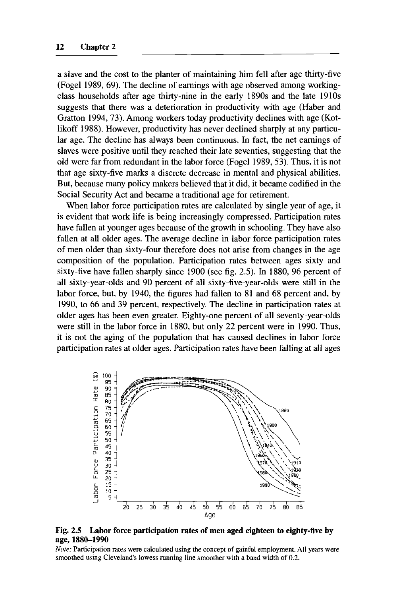a slave and the cost to the planter of maintaining him fell after age thirty-five (Fogel 1989,69). The decline of earnings with age observed among workingclass households after age thirty-nine in the early 1890s and the late 1910s suggests that there was a deterioration in productivity with age (Haber and Gratton 1994,73). Among workers today productivity declines with age (Kotlikoff 1988). However, productivity has never declined sharply at any particular age. The decline has always been continuous. In fact, the net earnings of slaves were positive until they reached their late seventies, suggesting that the old were far from redundant in the labor force (Fogel 1989,53). Thus, it is not that age sixty-five marks a discrete decrease in mental and physical abilities. But, because many policy makers believed that it did, it became codified in the Social Security Act and became a traditional age for retirement.

When labor force participation rates are calculated by single year of age, it is evident that work life is being increasingly compressed. Participation rates have fallen at younger ages because of the growth in schooling. They have also fallen at all older ages. The average decline in labor force participation rates of men older than sixty-four therefore does not arise from changes in the age composition of the population. Participation rates between ages sixty and sixty-five have fallen sharply since 1900 (see fig. 2.5). In 1880, 96 percent of all sixty-year-olds and 90 percent of all sixty-five-year-olds were still in the labor force, but, by 1940, the figures had fallen to 81 and 68 percent and, by 1990, to 66 and 39 percent, respectively. The decline in participation rates at older ages has been even greater. Eighty-one percent of all seventy-year-olds were still in the labor force in 1880, but only 22 percent were in 1990. Thus, it is not the aging of the population that has caused declines in labor force participation rates at older ages. Participation rates have been falling at all ages



**Fig. 2.5 Labor force participation rates of men aged eighteen to eighty-five by age, 1880-1990** 

*Note:* Participation rates were calculated using the concept of gainful employment. All years were smoothed using Cleveland's lowess running line smoother with a band width of 0.2.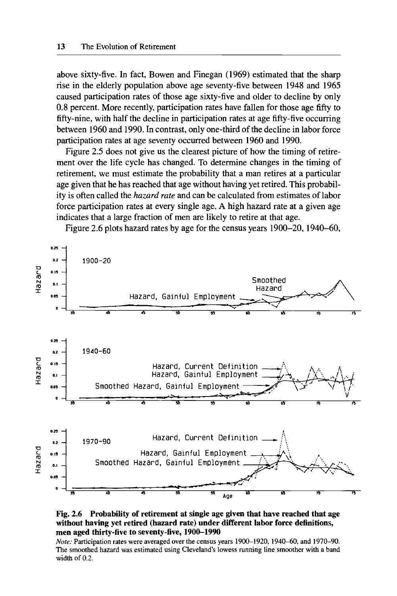above sixty-five. In fact, Bowen and Finegan (1969) estimated that the sharp rise in the elderly population above age seventy-five between 1948 and 1965 caused participation rates of those age sixty-five and older to decline by only 0.8 percent. More recently, participation rates have fallen for those age fifty to fifty-nine, with half the decline in participation rates at age fifty-five occurring between 1960 and 1990. In contrast, only one-third of the decline in labor force participation rates at age seventy occurred between 1960 and 1990.

Figure 2.5 does not give us the clearest picture of how the timing of retirement over the life cycle has changed. To determine changes in the timing of retirement, we must estimate the probability that a man retires at a particular age given that he has reached that age without having yet retired. This probability is often called the *hazard rate* and can be calculated from estimates of labor force participation rates at every single age. **A** high hazard rate at a given age indicates that a large fraction of men are likely to retire at that age.

Figure 2.6 plots hazard rates by age for the census years 1900-20, 1940-60,





*Note:* Participation rates were averaged over the census years 1900-1920, 1940-60, and 1970-90. The smoothed hazard was estimated using Cleveland's lowess running line smoother with a band width of 0.2.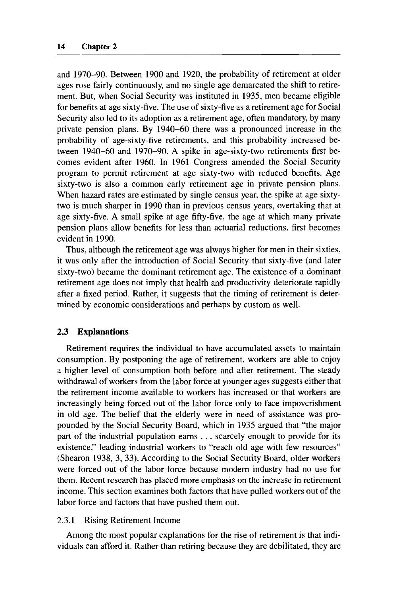and 1970-90. Between 1900 and 1920, the probability of retirement at older ages rose fairly continuously, and no single age demarcated the shift to retirement. But, when Social Security was instituted in 1935, men became eligible for benefits at age sixty-five. The use of sixty-five as a retirement age for Social Security also led to its adoption as a retirement age, often mandatory, by many private pension plans. By 1940-60 there was a pronounced increase in the probability of age-sixty-five retirements, and this probability increased between 1940-60 and 1970-90. A spike in age-sixty-two retirements first becomes evident after 1960. In 1961 Congress amended the Social Security program to permit retirement at age sixty-two with reduced benefits. Age sixty-two is also a common early retirement age in private pension plans. When hazard rates are estimated by single census year, the spike at age sixtytwo is much sharper in 1990 than in previous census years, overtaking that at age sixty-five. A small spike at age fifty-five, the age at which many private pension plans allow benefits for less than actuarial reductions, first becomes evident in 1990.

Thus, although the retirement age was always higher for men in their sixties, it was only after the introduction of Social Security that sixty-five (and later sixty-two) became the dominant retirement age. The existence of a dominant retirement age does not imply that health and productivity deteriorate rapidly after a fixed period. Rather, it suggests that the timing of retirement is determined by economic considerations and perhaps by custom as well.

## **2.3 Explanations**

Retirement requires the individual to have accumulated assets to maintain consumption. By postponing the age of retirement, workers are able to enjoy a higher level of consumption both before and after retirement. The steady withdrawal of workers from the labor force at younger ages suggests either that the retirement income available to workers has increased or that workers are increasingly being forced out of the labor force only to face impoverishment in old age. The belief that the elderly were in need of assistance was propounded by the Social Security Board, which in 1935 argued that "the major part of the industrial population earns . . . scarcely enough to provide for its existence," leading industrial workers to "reach old age with few resources" (Shearon 1938, 3, 33). According to the Social Security Board, older workers were forced out of the labor force because modern industry had no use for them. Recent research has placed more emphasis on the increase in retirement income. This section examines both factors that have pulled workers out of the labor force and factors that have pushed them out.

### 2.3.1 Rising Retirement Income

Among the most popular explanations for the rise of retirement is that individuals can afford it. Rather than retiring because they are debilitated, they are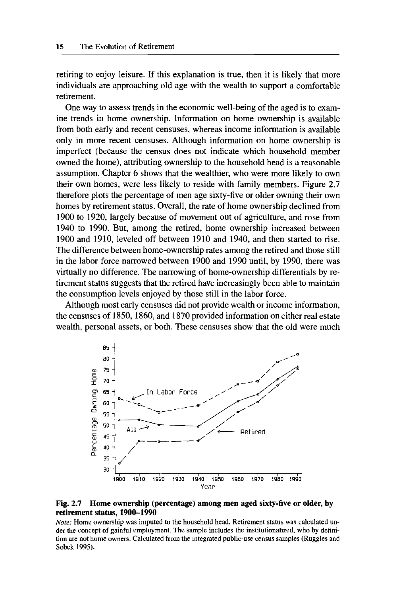retiring to enjoy leisure. If this explanation is true, then it is likely that more individuals are approaching old age with the wealth to support a comfortable retirement.

One way to assess trends in the economic well-being of the aged is to examine trends in home ownership. Information on home ownership is available from both early and recent censuses, whereas income information is available only in more recent censuses. Although information on home ownership is imperfect (because the census does not indicate which household member owned the home), attributing ownership to the household head is a reasonable assumption. Chapter 6 shows that the wealthier, who were more likely to own their own homes, were less likely to reside with family members. Figure 2.7 therefore plots the percentage of men age sixty-five or older owning their own homes by retirement status. Overall, the rate of home ownership declined from 1900 to 1920, largely because of movement out of agriculture, and rose from 1940 to 1990. But, among the retired, home ownership increased between 1900 and 1910, leveled off between 1910 and 1940, and then started to rise. The difference between home-ownership rates among the retired and those still in the labor force narrowed between 1900 and 1990 until, by 1990, there was virtually no difference. The narrowing of home-ownership differentials by retirement status suggests that the retired have increasingly been able to maintain the consumption levels enjoyed by those still in the labor force.

Although most early censuses did not provide wealth or income information, the censuses of 1850, 1860, and 1870 provided information on either real estate wealth, personal assets, or both. These censuses show that the old were much



#### **Fig. 2.7 Home ownership (percentage) among men aged sixty-five or older, by retirement status, 1900-1990**

Note: Home ownership was imputed to the household head. Retirement status was calculated under the concept of gainful employment. The sample includes the institutionalized, who by definition are not home owners. Calculated from the integrated public-use census samples (Ruggles and Sobek 1995).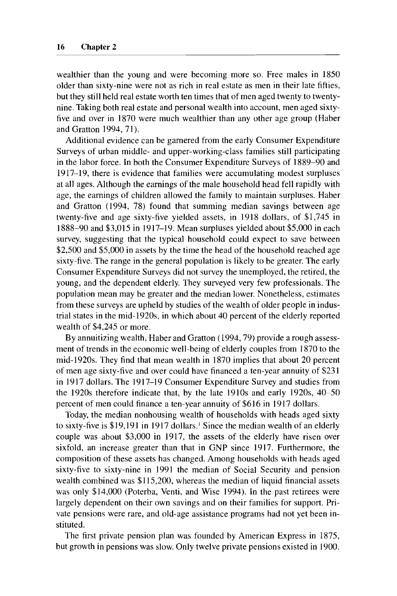wealthier than the young and were becoming more so. Free males in 1850 older than sixty-nine were not as rich in real estate as men in their late fifties, but they still held real estate worth ten times that of men aged twenty to twentynine. Taking both real estate and personal wealth into account, men aged sixtyfive and over in 1870 were much wealthier than any other age group (Haber and Gratton 1994, 71).

Additional evidence can be garnered from the early Consumer Expenditure Surveys of urban middle- and upper-working-class families still participating in the labor force. In both the Consumer Expenditure Surveys of 1889-90 and 19 17-19, there is evidence that families were accumulating modest surpluses at all ages. Although the earnings of the male household head fell rapidly with age, the earnings of children allowed the family to maintain surpluses. Haber and Gratton (1994, 78) found that summing median savings between age twenty-five and age sixty-five yielded assets, in 1918 dollars, of \$1,745 in 1888-90 and \$3,015 in 1917-19. Mean surpluses yielded about \$5,000 in each survey, suggesting that the typical household could expect to save between \$2,500 and \$5,000 in assets by the time the head of the household reached age sixty-five. The range in the general population is likely to be greater. The early Consumer Expenditure Surveys did not survey the unemployed, the retired, the young, and the dependent elderly. They surveyed very few professionals. The population mean may be greater and the median lower. Nonetheless, estimates from these surveys are upheld by studies of the wealth of older people in industrial states in the mid-l920s, in which about 40 percent of the elderly reported wealth of \$4,245 or more.

By annuitizing wealth, Haber and Gratton (1994,79) provide a rough assessment of trends in the economic well-being of elderly couples from 1870 to the mid-1 920s. They find that mean wealth in 1870 implies that about 20 percent of men age sixty-five and over could have financed a ten-year annuity of \$23 1 in 1917 dollars. The 1917–19 Consumer Expenditure Survey and studies from the 1920s therefore indicate that, by the late 1910s and early 1920s, 40-50 percent of men could finance a ten-year annuity of \$616 in 1917 dollars.

Today, the median nonhousing wealth of households with heads aged sixty to sixty-five is \$19,191 in 1917 dollars.<sup>1</sup> Since the median wealth of an elderly couple was about \$3,000 in 1917, the assets of the elderly have risen over sixfold, an increase greater than that in GNP since 1917. Furthermore, the composition of these assets has changed. Among households with heads aged sixty-five to sixty-nine in 1991 the median of Social Security and pension wealth combined was \$115,200, whereas the median of liquid financial assets was only \$14,000 (Poterba, Venti, and Wise 1994). In the past retirees were largely dependent on their own savings and on their families for support. Private pensions were rare, and old-age assistance programs had not yet been instituted.

The first private pension plan was founded by American Express in 1875, but growth in pensions was slow. Only twelve private pensions existed in 1900.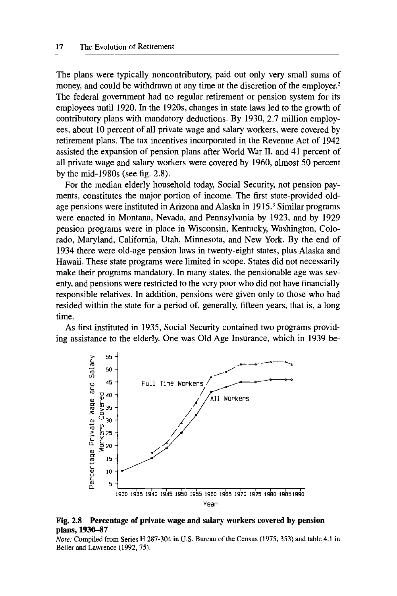The plans were typically noncontributory, paid out only very small sums of money, and could be withdrawn at any time at the discretion of the employer.<sup>2</sup> The federal government had no regular retirement or pension system for its employees until 1920. In the 1920s, changes in state laws led to the growth of contributory plans with mandatory deductions. By 1930, 2.7 million employees, about 10 percent of all private wage and salary workers, were covered by retirement plans. The tax incentives incorporated in the Revenue Act of 1942 assisted the expansion of pension plans after World War 11, and 41 percent of all private wage and salary workers were covered by 1960, almost 50 percent by the mid-1980s (see fig. 2.8).

For the median elderly household today, Social Security, not pension payments, constitutes the major portion of income. The first state-provided oldage pensions were instituted in Arizona and Alaska in 1915.<sup>3</sup> Similar programs were enacted in Montana, Nevada, and Pennsylvania by 1923, and by 1929 pension programs were in place in Wisconsin, Kentucky, Washington, Colorado, Maryland, California, Utah, Minnesota, and New York. By the end of 1934 there were old-age pension laws in twenty-eight states, plus Alaska and Hawaii. These state programs were limited in scope. States did not necessarily make their programs mandatory. In many states, the pensionable age was seventy, and pensions were restricted to the very poor who did not have financially responsible relatives. In addition, pensions were given only to those who had resided within the state for a period of, generally, fifteen years, that is, a long time.

**As** first instituted in 1935, Social Security contained two programs providing assistance to the elderly. One was Old Age Insurance, which in 1939 be-



#### **Fig. 2.8 Percentage of private wage and salary workers covered by pension plans, 1930-87**

*Nore:* Compiled from Series H 287-304 in U.S. Bureau of the Census (1975,353) and table 4.1 in **Beller** and Lawrence (1992,75).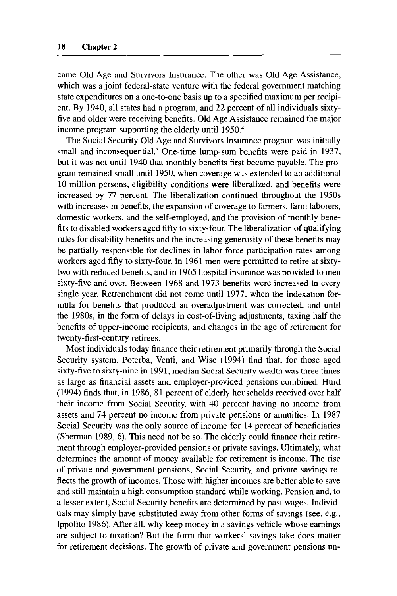came Old Age and Survivors Insurance. The other was Old Age Assistance, which was a joint federal-state venture with the federal government matching state expenditures on a one-to-one basis up to a specified maximum per recipient. By 1940, all states had a program, and *22* percent of all individuals sixtyfive and older were receiving benefits. Old Age Assistance remained the major income program supporting the elderly until 1950.4

The Social Security Old Age and Survivors Insurance program was initially small and inconsequential.<sup>5</sup> One-time lump-sum benefits were paid in 1937, but it was not until 1940 that monthly benefits first became payable. The program remained small until 1950, when coverage was extended to an additional 10 million persons, eligibility conditions were liberalized, and benefits were increased by 77 percent. The liberalization continued throughout the 1950s with increases in benefits, the expansion of coverage to farmers, farm laborers, domestic workers, and the self-employed, and the provision of monthly benefits to disabled workers aged fifty to sixty-four. The liberalization of qualifying rules for disability benefits and the increasing generosity of these benefits may be partially responsible for declines in labor force participation rates among workers aged fifty to sixty-four. In 1961 men were permitted to retire at sixtytwo with reduced benefits, and in 1965 hospital insurance was provided to men sixty-five and over. Between 1968 and 1973 benefits were increased in every single year. Retrenchment did not come until 1977, when the indexation formula for benefits that produced an overadjustment was corrected, and until the 1980s, in the form of delays in cost-of-living adjustments, taxing half the benefits of upper-income recipients, and changes in the age of retirement for twenty-first-century retirees.

Most individuals today finance their retirement primarily through the Social Security system. Poterba, Venti, and Wise (1994) find that, for those aged sixty-five to sixty-nine in 1991, median Social Security wealth was three times as large as financial assets and employer-provided pensions combined. Hurd (1994) finds that, in 1986, 81 percent of elderly households received over half their income from Social Security, with 40 percent having no income from assets and 74 percent no income from private pensions or annuities. In 1987 Social Security was the only source of income for 14 percent of beneficiaries (Sherman 1989,6). This need not be so. The elderly could finance their retirement through employer-provided pensions or private savings. Ultimately, what determines the amount of money available for retirement is income. The rise of private and government pensions, Social Security, and private savings reflects the growth of incomes. Those with higher incomes are better able to save and still maintain a high consumption standard while working. Pension and, to a lesser extent, Social Security benefits are determined by past wages. Individuals may simply have substituted away from other forms of savings (see, e.g., Ippolito 1986). After all, why keep money in a savings vehicle whose earnings are subject to taxation? But the form that workers' savings take does matter for retirement decisions. The growth of private and government pensions un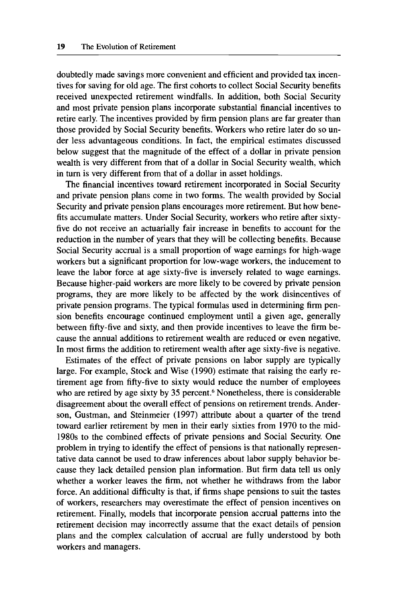doubtedly made savings more convenient and efficient and provided tax incentives for saving for old age. The first cohorts to collect Social Security benefits received unexpected retirement windfalls. In addition, both Social Security and most private pension plans incorporate substantial financial incentives to retire early. The incentives provided by firm pension plans are far greater than those provided by Social Security benefits. Workers who retire later do so under less advantageous conditions. In fact, the empirical estimates discussed below suggest that the magnitude of the effect of a dollar in private pension wealth is very different from that of a dollar in Social Security wealth, which in turn is very different from that of a dollar in asset holdings.

The financial incentives toward retirement incorporated in Social Security and private pension plans come in two forms. The wealth provided by Social Security and private pension plans encourages more retirement. But how benefits accumulate matters. Under Social Security, workers who retire after sixtyfive do not receive **an** actuarially fair increase in benefits to account for the reduction in the number of years that they will be collecting benefits. Because Social Security accrual is a small proportion of wage earnings for high-wage workers but a significant proportion for low-wage workers, the inducement to leave the labor force at age sixty-five is inversely related to wage earnings. Because higher-paid workers are more likely to be covered by private pension programs, they are more likely to be affected by the work disincentives of private pension programs. The typical formulas used in determining firm pension benefits encourage continued employment until a given age, generally between fifty-five and sixty, and then provide incentives to leave the firm because the annual additions to retirement wealth are reduced or even negative. In most firms the addition to retirement wealth after age sixty-five is negative.

Estimates of the effect of private pensions on labor supply are typically large. For example, Stock and Wise (1990) estimate that raising the early retirement age from fifty-five to sixty would reduce the number of employees who are retired by age sixty by 35 percent.<sup>6</sup> Nonetheless, there is considerable disagreement about the overall effect of pensions on retirement trends. Anderson, Gustman, and Steinmeier (1997) attribute about a quarter of the trend toward earlier retirement by men in their early sixties from 1970 to the mid-1980s to the combined effects of private pensions and Social Security. One problem in trying to identify the effect of pensions is that nationally representative data cannot be used to draw inferences about labor supply behavior because they lack detailed pension plan information. But firm data tell us only whether a worker leaves the firm, not whether he withdraws from the labor force. An additional difficulty is that, if firms shape pensions to suit the tastes of workers, researchers may overestimate the effect of pension incentives on retirement. Finally, models that incorporate pension accrual patterns into the retirement decision may incorrectly assume that the exact details of pension plans and the complex calculation of accrual are fully understood by both workers and managers.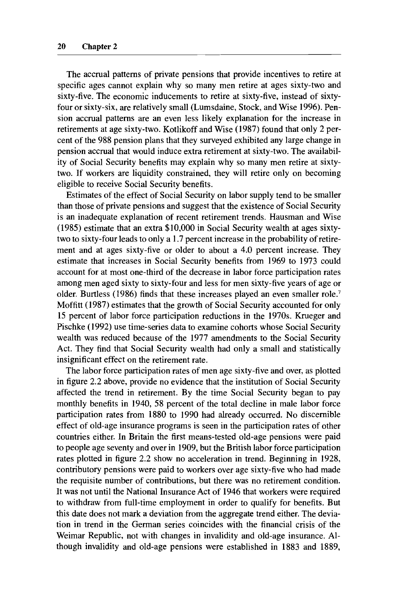The accrual patterns of private pensions that provide incentives to retire at specific ages cannot explain why so many men retire at ages sixty-two and sixty-five. The economic inducements to retire at sixty-five, instead of sixtyfour or sixty-six, are relatively small (Lumsdaine, Stock, and Wise 1996). Pension accrual patterns are an even less likely explanation for the increase in retirements at age sixty-two. Kotlikoff and Wise (1987) found that only 2 percent of the 988 pension plans that they surveyed exhibited any large change in pension accrual that would induce extra retirement at sixty-two. The availability of Social Security benefits may explain why so many men retire at sixtytwo. If workers are liquidity constrained, they will retire only on becoming eligible to receive Social Security benefits.

Estimates of the effect of Social Security on labor supply tend to be smaller than those of private pensions and suggest that the existence of Social Security is an inadequate explanation of recent retirement trends. Hausman and Wise (1985) estimate that an extra \$10,000 in Social Security wealth at ages sixtytwo to sixty-four leads to only a 1.7 percent increase in the probability of retirement and at ages sixty-five or older to about a 4.0 percent increase. They estimate that increases in Social Security benefits from 1969 to 1973 could account for at most one-third of the decrease in labor force participation rates among men aged sixty to sixty-four and less for men sixty-five years of age or older. Burtless (1986) finds that these increases played an even smaller role.<sup>7</sup> Moffitt (1987) estimates that the growth of Social Security accounted for only 15 percent of labor force participation reductions in the 1970s. Krueger and Pischke (1992) use time-series data to examine cohorts whose Social Security wealth was reduced because of the 1977 amendments to the Social Security Act. They find that Social Security wealth had only a small and statistically insignificant effect on the retirement rate.

The labor force participation rates of men age sixty-five and over, as plotted in figure 2.2 above, provide no evidence that the institution of Social Security affected the trend in retirement. By the time Social Security began to pay monthly benefits in 1940, 58 percent of the total decline in male labor force participation rates from 1880 to 1990 had already occurred. No discernible effect of old-age insurance programs is seen in the participation rates of other countries either. In Britain the first means-tested old-age pensions were paid to people age seventy and over in 1909, but the British labor force participation rates plotted in figure 2.2 show no acceleration in trend. Beginning in 1928, contributory pensions were paid to workers over age sixty-five who had made the requisite number of contributions, but there was no retirement condition. It was not until the National Insurance Act of 1946 that workers were required to withdraw from full-time employment in order to qualify for benefits. But this date does not mark a deviation from the aggregate trend either. The deviation in trend in the German series coincides with the financial crisis of the Weimar Republic, not with changes in invalidity and old-age insurance. **Al**though invalidity and old-age pensions were established in 1883 and 1889,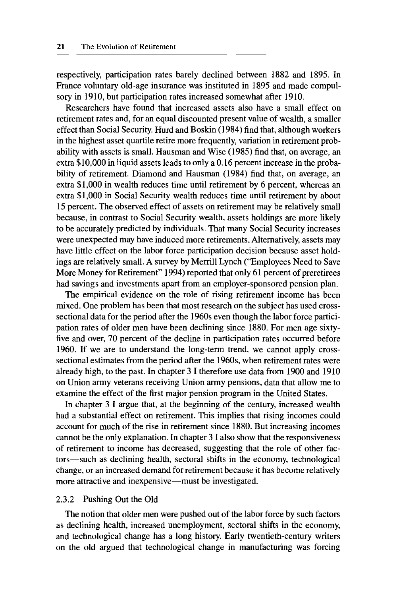respectively, participation rates barely declined between 1882 and 1895. In France voluntary old-age insurance was instituted in 1895 and made compulsory in 1910, but participation rates increased somewhat after 1910.

Researchers have found that increased assets also have a small effect on retirement rates and, for an equal discounted present value of wealth, a smaller effect than Social Security. Hurd and Boskin (1984) find that, although workers in the highest asset quartile retire more frequently, variation in retirement probability with assets is small. Hausman and Wise (1985) find that, on average, an extra \$10,000 in liquid assets leads to only a 0.16 percent increase in the probability of retirement. Diamond and Hausman (1984) find that, on average, an extra \$1,000 in wealth reduces time until retirement by 6 percent, whereas an extra \$1,000 in Social Security wealth reduces time until retirement by about 15 percent. The observed effect of assets on retirement may be relatively small because, in contrast to Social Security wealth, assets holdings are more likely to be accurately predicted by individuals. That many Social Security increases were unexpected may have induced more retirements. Alternatively, assets may have little effect on the labor force participation decision because asset holdings are relatively small. A survey by Merrill Lynch ("Employees Need to Save More Money for Retirement" 1994) reported that only 61 percent of preretirees had savings and investments apart from an employer-sponsored pension plan.

The empirical evidence on the role of rising retirement income has been mixed. One problem has been that most research on the subject has used crosssectional data for the period after the 1960s even though the labor force participation rates of older men have been declining since 1880. For men age sixtyfive and over, 70 percent of the decline in participation rates occurred before 1960. If we are to understand the long-term trend, we cannot apply crosssectional estimates from the period after the 196Os, when retirement rates were already high, to the past. In chapter **3** I therefore use data from 1900 and 1910 on Union army veterans receiving Union army pensions, data that allow me to examine the effect of the first major pension program in the United States.

In chapter **3** I argue that, at the beginning of the century, increased wealth had a substantial effect on retirement. This implies that rising incomes could account for much **of** the rise in retirement since 1880. But increasing incomes cannot be the only explanation. In chapter **3** I also show that the responsiveness of retirement **to** income has decreased, suggesting that the role of other factors-such as declining health, sectoral shifts in the economy, technological change, or an increased demand for retirement because it has become relatively more attractive and inexpensive—must be investigated.

## 2.3.2 Pushing Out the Old

The notion that older men were pushed out of the labor force by such factors as declining health, increased unemployment, sectoral shifts in the economy, and technological change has a long history. Early twentieth-century writers on the old argued that technological change in manufacturing was forcing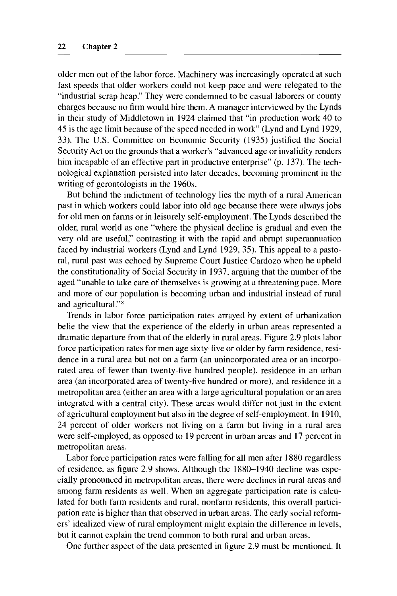older men out of the labor force. Machinery was increasingly operated at such fast speeds that older workers could not keep pace and were relegated to the "industrial scrap heap." They were condemned to be casual laborers or county charges because no firm would hire them. A manager interviewed by the Lynds in their study of Middletown in 1924 claimed that "in production work 40 to 45 is the age limit because of the speed needed in work" (Lynd and Lynd 1929, 33). The U.S. Committee on Economic Security (1935) justified the Social Security Act on the grounds that a worker's "advanced age or invalidity renders him incapable of an effective part in productive enterprise" (p. 137). The technological explanation persisted into later decades, becoming prominent in the writing of gerontologists in the 1960s.

But behind the indictment of technology lies the myth of a rural American past in which workers could labor into old age because there were always jobs for old men on farms or in leisurely self-employment. The Lynds described the older, rural world as one "where the physical decline is gradual and even the very old are useful," contrasting it with the rapid and abrupt superannuation faced by industrial workers (Lynd and Lynd 1929, 35). This appeal to a pastoral, rural past was echoed by Supreme Court Justice Cardozo when he upheld the constitutionality of Social Security in 1937, arguing that the number of the aged "unable to take care of themselves is growing at a threatening pace. More and more of our population is becoming urban and industrial instead of rural and agricultural."<sup>8</sup>

Trends in labor force participation rates arrayed by extent of urbanization belie the view that the experience of the elderly in urban areas represented a dramatic departure from that of the elderly in rural areas. Figure 2.9 plots labor force participation rates for men age sixty-five or older by farm residence, residence in a rural area but not on a farm (an unincorporated area or an incorporated area of fewer than twenty-five hundred people), residence in an urban area (an incorporated area of twenty-five hundred or more), and residence in a metropolitan area (either an area with a large agricultural population or an area integrated with a central city). These areas would differ not just in the extent of agricultural employment but also in the degree of self-employment. In 1910, 24 percent of older workers not living on a farm but living in a rural area were self-employed, as opposed to 19 percent in urban areas and 17 percent in metropolitan areas.

Labor force participation rates were falling for all men after 1880 regardless of residence, as figure 2.9 shows. Although the 1880-1940 decline was especially pronounced in metropolitan areas, there were declines in rural areas and among farm residents as well. When an aggregate participation rate is calculated for both farm residents and rural, nonfarm residents, this overall participation rate is higher than that observed in urban areas. The early social reformers' idealized view of rural employment might explain the difference in levels, but it cannot explain the trend common to both rural and urban areas.

One further aspect of the data presented in figure 2.9 must be mentioned. It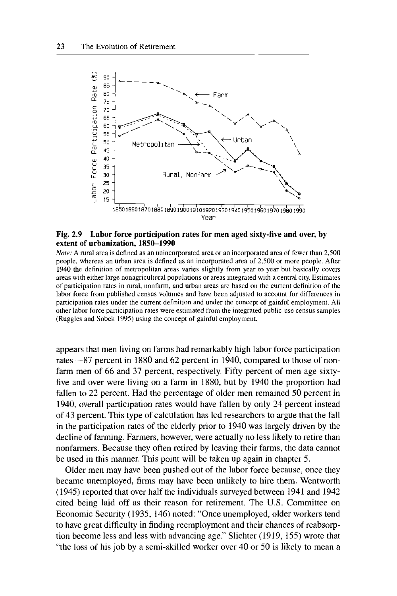

#### **Fig. 2.9 Labor force participation rates for men aged sixty-five and over, by extent of urbanization, 1850-1990**

*Nore:* A rural area is defined as an unincorporated area or an incorporated area of fewer than 2,500 people, whereas an urban area is defined as an incorporated area of 2,500 or more people. After 1940 the definition of metropolitan areas varies slightly from year to year but basically covers areas with either large nonagricultural populations or areas integrated with a central city. Estimates of participation rates in rural, nonfarm, and urban areas are based on the current definition of the labor force from published census volumes and have been adjusted to account for differences in participation rates under the current definition and under the concept of gainful employment. All other labor force participation rates were estimated from the integrated public-use census samples (Ruggles and Sobek 1995) using the concept of gainful employment.

appears that men living on farms had remarkably high labor force participation rates-87 percent in 1880 and 62 percent in 1940, compared to those of nonfarm men of 66 and 37 percent, respectively. Fifty percent of men age sixtyfive and over were living on a farm in 1880, but by 1940 the proportion had fallen to 22 percent. Had the percentage of older men remained 50 percent in 1940, overall participation rates would have fallen by only 24 percent instead of 43 percent. This type of calculation has led researchers to argue that the fall in the participation rates of the elderly prior to 1940 was largely driven by the decline of farming. Farmers, however, were actually no less likely to retire than nonfarmers. Because they often retired by leaving their farms, the data cannot be used in this manner. This point will be taken up again in chapter 5.

Older men may have been pushed out of the labor force because, once they became unemployed, firms may have been unlikely to hire them. Wentworth (1945) reported that over half the individuals surveyed between 1941 and 1942 cited being laid off as their reason for retirement. The **U.S.** Committee on Economic Security (1935, 146) noted: "Once unemployed, older workers tend to have great difficulty in finding reemployment and their chances of reabsorption become less and less with advancing age." Slichter (1919, 155) wrote that "the loss of his job by a semi-skilled worker over 40 or 50 is likely to mean a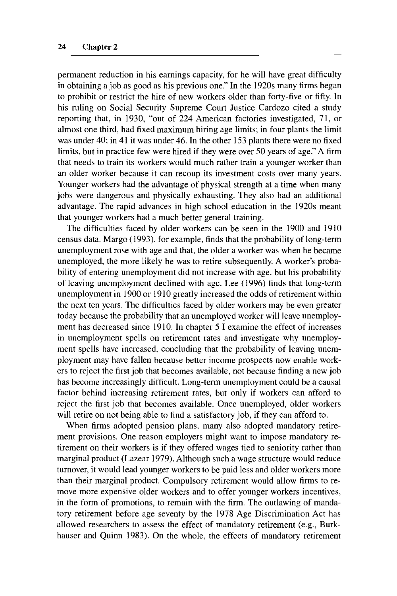permanent reduction in his earnings capacity, for he will have great difficulty in obtaining a job as good as his previous one." In the 1920s many firms began to prohibit or restrict the hire of new workers older than forty-five or fifty. In his ruling on Social Security Supreme Court Justice Cardozo cited a study reporting that, in 1930, "out of 224 American factories investigated, 71, or almost one third, had fixed maximum hiring age limits; in four plants the limit was under 40; in 41 it was under 46. In the other 153 plants there were no fixed limits, but in practice few were hired if they were over 50 years of age." A firm that needs to train its workers would much rather train a younger worker than an older worker because it can recoup its investment costs over many years. Younger workers had the advantage of physical strength at a time when many jobs were dangerous and physically exhausting. They also had an additional advantage. The rapid advances in high school education in the 1920s meant that younger workers had a much better general training.

The difficulties faced by older workers can be seen in the 1900 and 1910 census data. Margo (1993), for example, finds that the probability of long-term unemployment rose with age and that, the older a worker was when he became unemployed, the more likely he was to retire subsequently. A worker's probability of entering unemployment did not increase with age, but his probability of leaving unemployment declined with age. Lee (1996) finds that long-term unemployment in 1900 or 1910 greatly increased the odds of retirement within the next ten years. The difficulties faced by older workers may be even greater today because the probability that an unemployed worker will leave unemployment has decreased since 1910. In chapter 5 **I** examine the effect of increases in unemployment spells on retirement rates and investigate why unemployment spells have increased, concluding that the probability of leaving unemployment may have fallen because better income prospects now enable workers to reject the first job that becomes available, not because finding a new job has become increasingly difficult. Long-term unemployment could be a causal factor behind increasing retirement rates, but only if workers can afford to reject the first job that becomes available. Once unemployed, older workers will retire on not being able to find a satisfactory job, if they can afford to.

When firms adopted pension plans, many also adopted mandatory retirement provisions. One reason employers might want to impose mandatory retirement on their workers is if they offered wages tied to seniority rather than marginal product (Lazear 1979). Although such a wage structure would reduce turnover, it would lead younger workers to be paid less and older workers more than their marginal product. Compulsory retirement would allow firms to remove more expensive older workers and to offer younger workers incentives, in the form of promotions, to remain with the firm. The outlawing of mandatory retirement before age seventy by the 1978 Age Discrimination Act has allowed researchers to assess the effect of mandatory retirement (e.g., Burkhauser and Quinn 1983). On the whole, the effects of mandatory retirement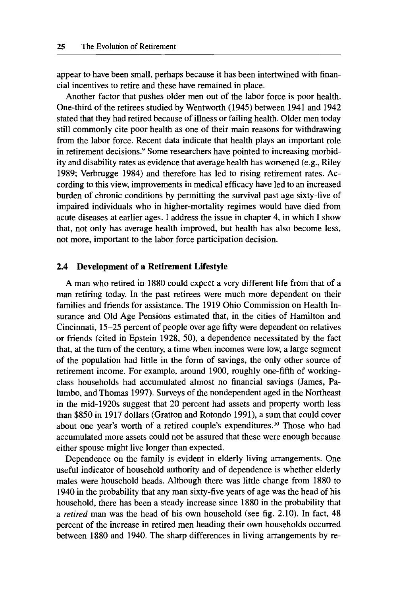appear to have been small, perhaps because it has been intertwined with financial incentives to retire and these have remained in place.

Another factor that pushes older men out of the labor force is poor health. One-third of the retirees studied by Wentworth (1945) between 1941 and 1942 stated that they had retired because of illness or failing health. Older men today still commonly cite poor health as one of their main reasons for withdrawing from the labor force. Recent data indicate that health plays an important role in retirement decisions.<sup>9</sup> Some researchers have pointed to increasing morbidity and disability rates as evidence that average health has worsened (e.g., Riley 1989; Verbrugge 1984) and therefore has led to rising retirement rates. According to this view, improvements in medical efficacy have led to an increased burden of chronic conditions by permitting the survival past age sixty-five of impaired individuals who in higher-mortality regimes would have died from acute diseases at earlier ages. I address the issue in chapter 4, in which I show that, not only has average health improved, but health has also become less, not more, important to the labor force participation decision.

## **2.4 Development of a Retirement Lifestyle**

A man who retired in 1880 could expect a very different life from that of a man retiring today. In the past retirees were much more dependent on their families and friends for assistance. The 1919 Ohio Commission on Health Insurance and Old Age Pensions estimated that, in the cities of Hamilton and Cincinnati, 15-25 percent of people over age fifty were dependent on relatives or friends (cited in Epstein 1928, *50),* a dependence necessitated by the fact that, at the turn of the century, a time when incomes were low, a large segment of the population had little in the form of savings, the only other source of retirement income. For example, around 1900, roughly one-fifth of workingclass households had accumulated almost no financial savings (James, Palumbo, and Thomas 1997). Surveys of the nondependent aged in the Northeast in the mid-1920s suggest that 20 percent had assets and property worth less than \$850 in 1917 dollars (Gratton and Rotondo 1991), a sum that could cover about one year's worth of a retired couple's expenditures.<sup>10</sup> Those who had accumulated more assets could not be assured that these were enough because either spouse might live longer than expected.

Dependence on the family is evident in elderly living arrangements. One useful indicator of household authority and of dependence is whether elderly males were household heads. Although there was little change from 1880 to 1940 in the probability that any man sixty-five years of age was the head of his household, there has been a steady increase since 1880 in the probability that a retired man was the head of his own household (see fig. 2.10). In fact, 48 percent of the increase in retired men heading their own households occurred between 1880 and 1940. The sharp differences in living arrangements by re-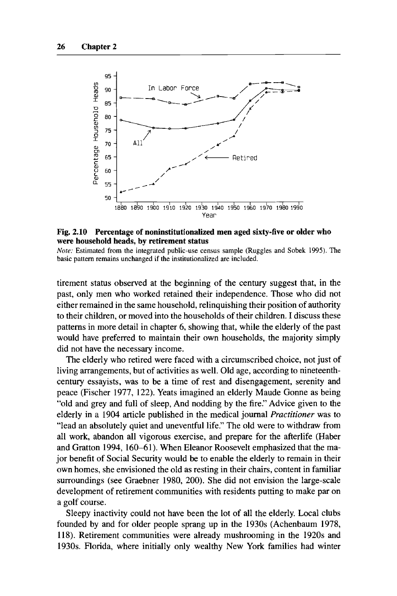

**Fig. 2.10 Percentage of noninstitutionalized men aged sixty-five or older who were household heads, by retirement status** 

*Nure:* Estimated from the integrated public-use census sample (Ruggles and Sobek 1995). The basic pattern remains unchanged if the institutionalized are included.

tirement status observed at the beginning of the century suggest that, in the past, only men who worked retained their independence. Those who did not either remained in the same household, relinquishing their position of authority to their children, or moved into the households of their children. I discuss these patterns in more detail in chapter 6, showing that, while the elderly of the past would have preferred to maintain their own households, the majority simply did not have the necessary income.

The elderly who retired were faced with a circumscribed choice, not just of living arrangements, but of activities as well. Old age, according to nineteenthcentury essayists, was to be a time of rest and disengagement, serenity and peace (Fischer 1977, 122). Yeats imagined an elderly Maude Gonne as being "old and grey and full of sleep, And nodding by the fire." Advice given to the elderly in a 1904 article published in the medical journal *Practitioner* was to "lead an absolutely quiet and uneventful life." The old were to withdraw from all work, abandon all vigorous exercise, and prepare for the afterlife (Haber and Gratton 1994, 160-61). When Eleanor Roosevelt emphasized that the major benefit of Social Security would be to enable the elderly to remain in their own homes, she envisioned the old as resting in their chairs, content in familiar surroundings (see Graebner 1980, 200). She did not envision the large-scale development of retirement communities with residents putting to make par on a golf course.

Sleepy inactivity could not have been the lot of all the elderly. Local clubs founded by and for older people sprang up in the 1930s (Achenbaum 1978, 118). Retirement communities were already mushrooming in the 1920s and 1930s. Florida, where initially only wealthy New York families had winter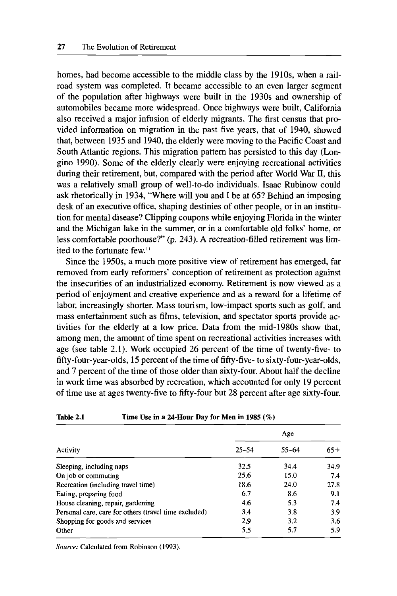homes, had become accessible to the middle class by the 1910s, when a railroad system was completed. It became accessible to an even larger segment of the population after highways were built in the 1930s and ownership of automobiles became more widespread. Once highways were built, California also received a major infusion of elderly migrants. The first census that provided information on migration in the past five years, that of 1940, showed that, between 1935 and 1940, the elderly were moving to the Pacific Coast and South Atlantic regions. This migration pattern has persisted to this day (Longino 1990). Some of the elderly clearly were enjoying recreational activities during their retirement, but, compared with the period after World War **11,** this was a relatively small group of well-to-do individuals. Isaac Rubinow could ask rhetorically in 1934, "Where will you and I be at 65? Behind an imposing desk of **an** executive office, shaping destinies of other people, or in an institution for mental disease? Clipping coupons while enjoying Florida in the winter and the Michigan lake in the summer, or in a comfortable old folks' home, or less comfortable poorhouse?" (p. 243). A recreation-filled retirement **was** limited to the fortunate few.<sup>11</sup>

Since the 1950s, a much more positive view of retirement has emerged, far removed from early reformers' conception of retirement as protection against the insecurities of an industrialized economy. Retirement is now viewed as a period of enjoyment and creative experience and as a reward for a lifetime of labor, increasingly shorter. Mass tourism, low-impact sports such as golf, and mass entertainment such as films, television, and spectator sports provide activities **for** the elderly at a low price. Data from the mid-1980s show that, among men, the amount of time spent on recreational activities increases with age (see table 2.1). Work occupied 26 percent of the time of twenty-five- to fifty-four-year-olds, 15 percent of the time of fifty-five- to sixty-four-year-olds, and 7 percent of the time of those older than sixty-four. About half the decline in work time was absorbed by recreation, which accounted for only 19 percent of time use at ages twenty-five to fifty-four but 28 percent after age sixty-four.

|                                                       | Age       |           |       |  |
|-------------------------------------------------------|-----------|-----------|-------|--|
| Activity                                              | $25 - 54$ | $55 - 64$ | $65+$ |  |
| Sleeping, including naps                              | 32.5      | 34.4      | 34.9  |  |
| On job or commuting                                   | 25.6      | 15.0      | 7.4   |  |
| Recreation (including travel time)                    | 18.6      | 24.0      | 27.8  |  |
| Eating, preparing food                                | 6.7       | 8.6       | 9.1   |  |
| House cleaning, repair, gardening                     | 4.6       | 5.3       | 7.4   |  |
| Personal care, care for others (travel time excluded) | 3.4       | 3.8       | 3.9   |  |
| Shopping for goods and services                       | 2.9       | 3.2       | 3.6   |  |
| Other                                                 | 5.5       | 5.7       | 5.9   |  |
|                                                       |           |           |       |  |

| Table 2.1 | Time Use in a 24-Hour Day for Men in 1985 $(\%)$ |  |
|-----------|--------------------------------------------------|--|
|-----------|--------------------------------------------------|--|

Source: Calculated from Robinson (1993).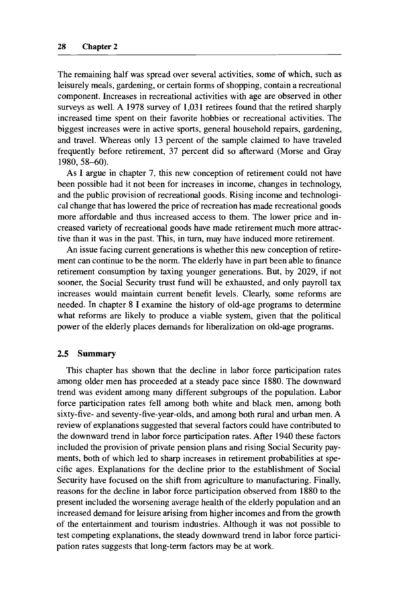The remaining half was spread over several activities, some of which, such as leisurely meals, gardening, or certain forms **of** shopping, contain a recreational component. Increases in recreational activities with age are observed in other surveys as well. A 1978 survey of 1,031 retirees found that the retired sharply increased time spent on their favorite hobbies or recreational activities. The biggest increases were in active sports, general household repairs, gardening, and travel. Whereas only 13 percent of the sample claimed to have traveled frequently before retirement, 37 percent did so afterward (Morse and Gray 1980,58-60).

As I argue in chapter 7, this new conception of retirement could not have been possible had it not been for increases in income, changes in technology, and the public provision of recreational goods. Rising income and technological change that has lowered the price of recreation has made recreational goods more affordable and thus increased access to them. The lower price and increased variety of recreational goods have made retirement much more attractive than it was in the past. This, in turn, may have induced more retirement.

An issue facing current generations is whether this new conception of retirement can continue to **be** the norm. The elderly have in part been able to finance retirement consumption by taxing younger generations. But, by 2029, if not sooner, the Social Security trust fund will be exhausted, and only payroll tax increases would maintain current benefit levels. Clearly, some reforms are needed. In chapter **8 I** examine the history **of** old-age programs to determine what reforms are likely to produce a viable system, given that the political power of the elderly places demands for liberalization on old-age programs.

#### **2.5 Summary**

This chapter has shown that the decline in labor force participation rates among older men has proceeded at a steady pace since 1880. The downward trend was evident among many different subgroups of the population. Labor force participation rates fell among both white and black men, among both sixty-five- and seventy-five-year-olds, and among both rural and urban men. A review of explanations suggested that several factors could have contributed to the downward trend in labor force participation rates. After 1940 these factors included the provision of private pension plans and rising Social Security payments, both of which led to sharp increases in retirement probabilities at specific ages. Explanations for the decline prior to the establishment of Social Security have focused on the shift from agriculture to manufacturing. Finally, reasons for the decline in labor force participation observed from 1880 to the present included the worsening average health of the elderly population and an increased demand for leisure arising from higher incomes and from the growth of the entertainment and tourism industries. Although it was not possible to test competing explanations, the steady downward trend in labor force participation rates suggests that long-term factors may be at work.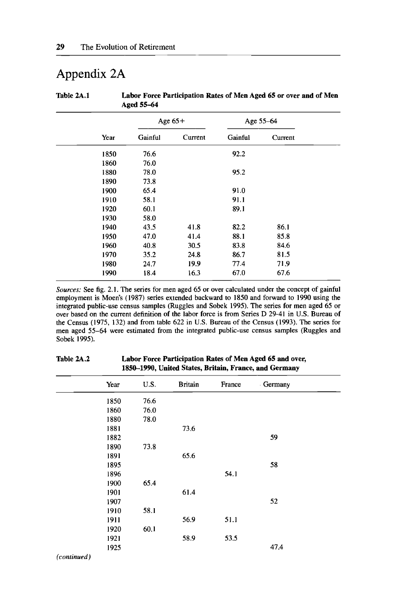Aged **55-64** 

|      | Age $65+$ |         |         | Age 55-64 |
|------|-----------|---------|---------|-----------|
| Үеаг | Gainful   | Current | Gainful | Current   |
| 1850 | 76.6      |         | 92.2    |           |
| 1860 | 76.0      |         |         |           |
| 1880 | 78.0      |         | 95.2    |           |
| 1890 | 73.8      |         |         |           |
| 1900 | 65.4      |         | 91.0    |           |
| 1910 | 58.1      |         | 91.1    |           |
| 1920 | 60.1      |         | 89.1    |           |
| 1930 | 58.0      |         |         |           |
| 1940 | 43.5      | 41.8    | 82.2    | 86.1      |
| 1950 | 47.0      | 41.4    | 88.1    | 85.8      |
| 1960 | 40.8      | 30.5    | 83.8    | 84.6      |
| 1970 | 35.2      | 24.8    | 86.7    | 81.5      |
| 1980 | 24.7      | 19.9    | 77.4    | 71.9      |
| 1990 | 18.4      | 16.3    | 67.0    | 67.6      |

Table 2A.1 Labor Force Participation Rates of Men Aged *65* or over and **of** Men

## Appendix 2A

Sources: See fig. 2.1. The series for men aged 65 or over calculated under the concept of gainful employment is Moen's (1987) series extended backward to 1850 and forward to 1990 using the integrated public-use census samples (Ruggles and Sobek 1995). The series for men aged 65 or over based on the current definition of the labor force is from Series D 29-41 in **US.** Bureau of the Census (1975, 132) and from table 622 in **US.** Bureau of the Census (1993). The series for men aged 55-64 were estimated from the integrated public-use census samples (Ruggles and Sobek 1995).

| Year | U.S. | <b>Britain</b> | France | - Germany |
|------|------|----------------|--------|-----------|
| 1850 | 76.6 |                |        |           |
| 1860 | 76.0 |                |        |           |
| 1880 | 78.0 |                |        |           |
| 1881 |      | 73.6           |        |           |
| 1882 |      |                |        | 59        |
| 1890 | 73.8 |                |        |           |
| 1891 |      | 65.6           |        |           |
| 1895 |      |                |        | 58        |
| 1896 |      |                | 54.1   |           |
| 1900 | 65.4 |                |        |           |
| 1901 |      | 61.4           |        |           |
| 1907 |      |                |        | 52        |
| 1910 | 58.1 |                |        |           |
| 1911 |      | 56.9           | 51.1   |           |
| 1920 | 60.1 |                |        |           |
| 1921 |      | 58.9           | 53.5   |           |
| 1925 |      |                |        | 47.4      |

#### Table 2A.2 Labor Force Participation Rates of Men Aged *65* and over, **1850-1990,** United States, Britain, France, and Germany

*(continued)*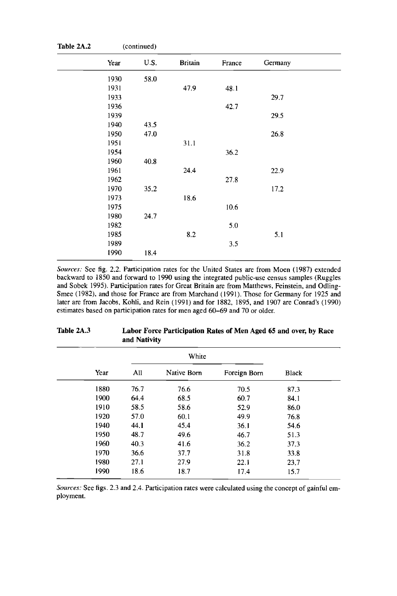| Table 2A.2 |      | (continued) |                |        |         |  |
|------------|------|-------------|----------------|--------|---------|--|
|            | Year | U.S.        | <b>Britain</b> | France | Germany |  |
|            | 1930 | 58.0        |                |        |         |  |
|            | 1931 |             | 47.9           | 48.1   |         |  |
|            | 1933 |             |                |        | 29.7    |  |
|            | 1936 |             |                | 42.7   |         |  |
|            | 1939 |             |                |        | 29.5    |  |
|            | 1940 | 43.5        |                |        |         |  |
|            | 1950 | 47.0        |                |        | 26.8    |  |
|            | 1951 |             | 31.1           |        |         |  |
|            | 1954 |             |                | 36.2   |         |  |
|            | 1960 | 40.8        |                |        |         |  |
|            | 1961 |             | 24.4           |        | 22.9    |  |
|            | 1962 |             |                | 27.8   |         |  |
|            | 1970 | 35.2        |                |        | 17.2    |  |
|            | 1973 |             | 18.6           |        |         |  |
|            | 1975 |             |                | 10.6   |         |  |
|            | 1980 | 24.7        |                |        |         |  |
|            | 1982 |             |                | 5.0    |         |  |
|            | 1985 |             | 8.2            |        | 5.1     |  |
|            | 1989 |             |                | 3.5    |         |  |
|            | 1990 | 18.4        |                |        |         |  |
|            |      |             |                |        |         |  |

Sources: See fig. 2.2. Participation rates for the United States are from Moen (1987) extended backward to 1850 and forward to 1990 using the integrated public-use census samples (Ruggles and Sobek 1995). Participation rates for Great Britain are from Matthews, Feinstein, and Odling-Smee (1982). and those for France are from Marchand (1991). Those for Germany for 1925 and later are from Jacobs, Kohli, and Rein (1991) and for 1882, 1895, and 1907 are Conrad's (1990) estimates based on participation rates for men aged 60-69 and 70 or older.

|      |      | White       |              |              |  |
|------|------|-------------|--------------|--------------|--|
| Year | All  | Native Born | Foreign Born | <b>Black</b> |  |
| 1880 | 76.7 | 76.6        | 70.5         | 87.3         |  |
| 1900 | 64.4 | 68.5        | 60.7         | 84.1         |  |
| 1910 | 58.5 | 58.6        | 52.9         | 86.0         |  |
| 1920 | 57.0 | 60.1        | 49.9         | 76.8         |  |
| 1940 | 44.1 | 45.4        | 36.1         | 54.6         |  |
| 1950 | 48.7 | 49.6        | 46.7         | 51.3         |  |
| 1960 | 40.3 | 41.6        | 36.2         | 37.3         |  |
| 1970 | 36.6 | 37.7        | 31.8         | 33.8         |  |
| 1980 | 27.1 | 27.9        | 22.1         | 23.7         |  |
| 1990 | 18.6 | 18.7        | 17.4         | 15.7         |  |

| Table 2A.3 | Labor Force Participation Rates of Men Aged 65 and over, by Race |
|------------|------------------------------------------------------------------|
|            | and Nativity                                                     |

Sources: See figs. 2.3 and 2.4. Participation rates were calculated using the concept of gainful employment.